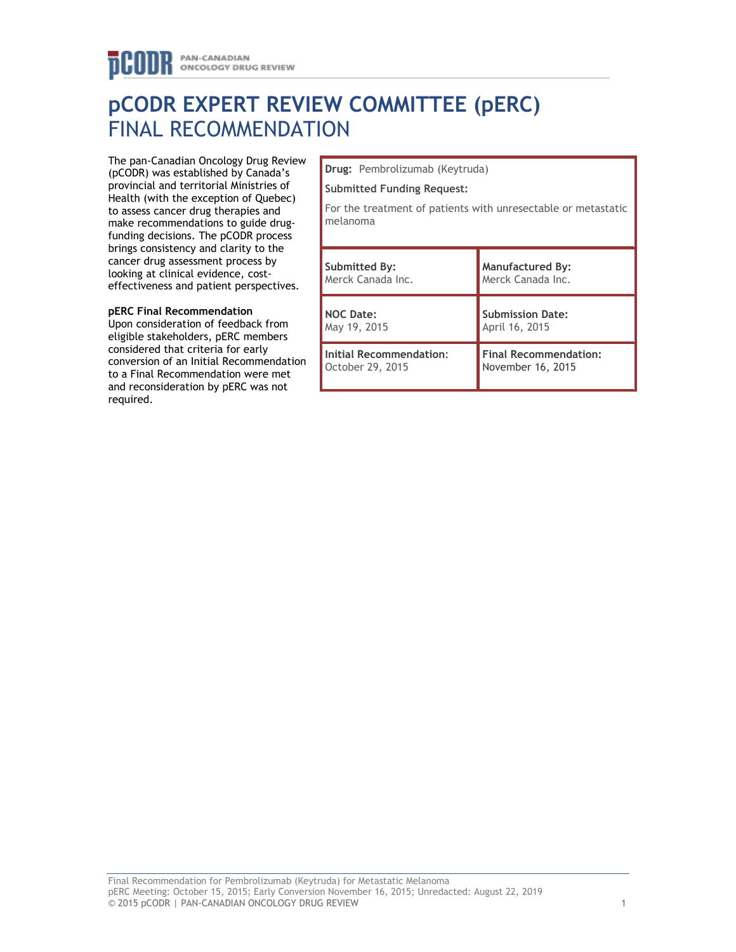# **pCODR EXPERT REVIEW COMMITTEE (pERC)** FINAL RECOMMENDATION

The pan-Canadian Oncology Drug Review (pCODR) was established by Canada's provincial and territorial Ministries of Health (with the exception of Quebec) to assess cancer drug therapies and make recommendations to guide drugfunding decisions. The pCODR process brings consistency and clarity to the cancer drug assessment process by looking at clinical evidence, costeffectiveness and patient perspectives.

# **pERC Final Recommendation**

Upon consideration of feedback from eligible stakeholders, pERC members considered that criteria for early conversion of an Initial Recommendation to a Final Recommendation were met and reconsideration by pERC was not required.

**Drug:** Pembrolizumab (Keytruda)

#### **Submitted Funding Request:**

For the treatment of patients with unresectable or metastatic melanoma

| Submitted By:           | <b>Manufactured By:</b>      |
|-------------------------|------------------------------|
| Merck Canada Inc.       | Merck Canada Inc.            |
| <b>NOC Date:</b>        | <b>Submission Date:</b>      |
| May 19, 2015            | April 16, 2015               |
| Initial Recommendation: | <b>Final Recommendation:</b> |
| October 29, 2015        | November 16, 2015            |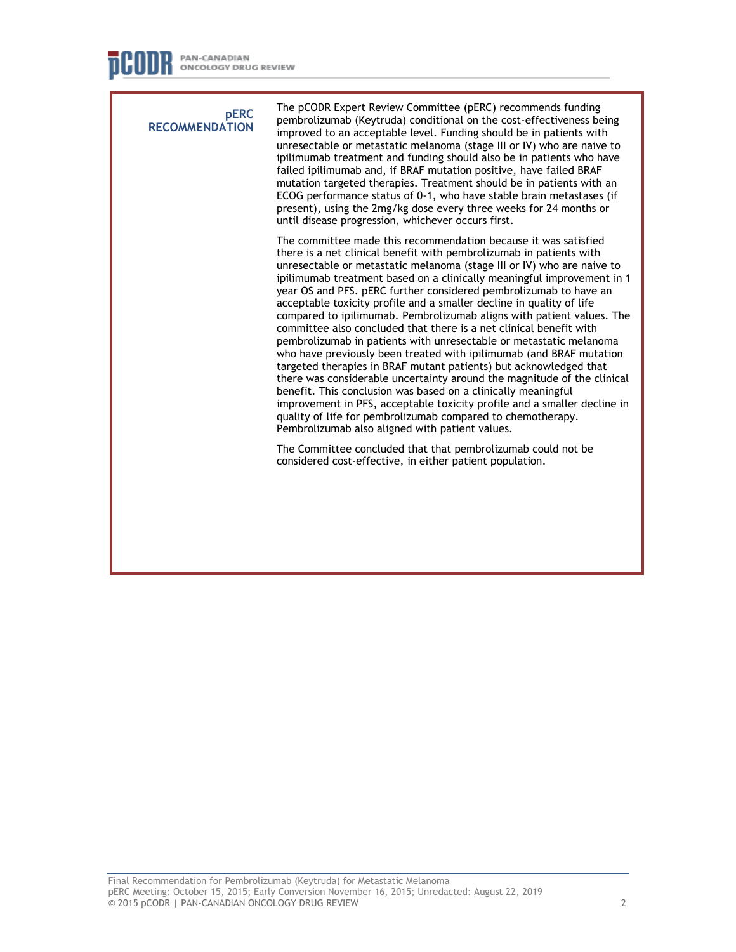**pERC RECOMMENDATION** The pCODR Expert Review Committee (pERC) recommends funding pembrolizumab (Keytruda) conditional on the cost-effectiveness being improved to an acceptable level. Funding should be in patients with unresectable or metastatic melanoma (stage III or IV) who are naive to ipilimumab treatment and funding should also be in patients who have failed ipilimumab and, if BRAF mutation positive, have failed BRAF mutation targeted therapies. Treatment should be in patients with an ECOG performance status of 0-1, who have stable brain metastases (if present), using the 2mg/kg dose every three weeks for 24 months or until disease progression, whichever occurs first. The committee made this recommendation because it was satisfied there is a net clinical benefit with pembrolizumab in patients with unresectable or metastatic melanoma (stage III or IV) who are naive to ipilimumab treatment based on a clinically meaningful improvement in 1 year OS and PFS. pERC further considered pembrolizumab to have an acceptable toxicity profile and a smaller decline in quality of life compared to ipilimumab. Pembrolizumab aligns with patient values. The committee also concluded that there is a net clinical benefit with pembrolizumab in patients with unresectable or metastatic melanoma who have previously been treated with ipilimumab (and BRAF mutation targeted therapies in BRAF mutant patients) but acknowledged that there was considerable uncertainty around the magnitude of the clinical benefit. This conclusion was based on a clinically meaningful improvement in PFS, acceptable toxicity profile and a smaller decline in quality of life for pembrolizumab compared to chemotherapy. Pembrolizumab also aligned with patient values. The Committee concluded that that pembrolizumab could not be considered cost-effective, in either patient population.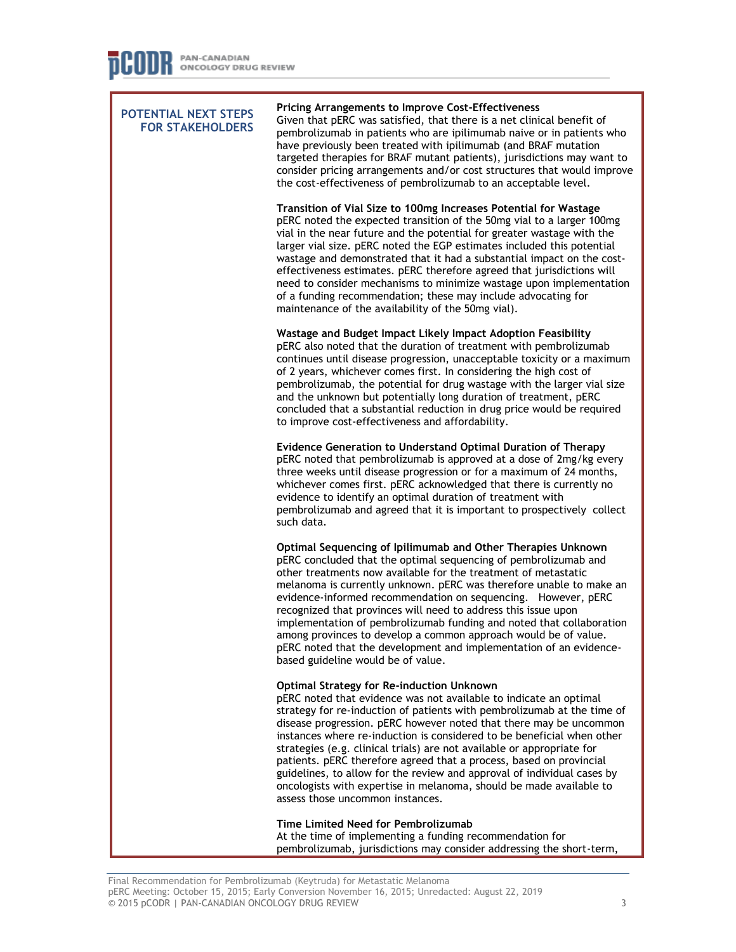**POTENTIAL NEXT STEPS FOR STAKEHOLDERS Pricing Arrangements to Improve Cost-Effectiveness** Given that pERC was satisfied, that there is a net clinical benefit of pembrolizumab in patients who are ipilimumab naive or in patients who have previously been treated with ipilimumab (and BRAF mutation targeted therapies for BRAF mutant patients), jurisdictions may want to consider pricing arrangements and/or cost structures that would improve the cost-effectiveness of pembrolizumab to an acceptable level. **Transition of Vial Size to 100mg Increases Potential for Wastage** pERC noted the expected transition of the 50mg vial to a larger 100mg vial in the near future and the potential for greater wastage with the larger vial size. pERC noted the EGP estimates included this potential wastage and demonstrated that it had a substantial impact on the costeffectiveness estimates. pERC therefore agreed that jurisdictions will need to consider mechanisms to minimize wastage upon implementation of a funding recommendation; these may include advocating for maintenance of the availability of the 50mg vial). **Wastage and Budget Impact Likely Impact Adoption Feasibility** pERC also noted that the duration of treatment with pembrolizumab continues until disease progression, unacceptable toxicity or a maximum of 2 years, whichever comes first. In considering the high cost of pembrolizumab, the potential for drug wastage with the larger vial size and the unknown but potentially long duration of treatment, pERC concluded that a substantial reduction in drug price would be required to improve cost-effectiveness and affordability. **Evidence Generation to Understand Optimal Duration of Therapy** pERC noted that pembrolizumab is approved at a dose of 2mg/kg every three weeks until disease progression or for a maximum of 24 months, whichever comes first. pERC acknowledged that there is currently no evidence to identify an optimal duration of treatment with pembrolizumab and agreed that it is important to prospectively collect such data. **Optimal Sequencing of Ipilimumab and Other Therapies Unknown**  pERC concluded that the optimal sequencing of pembrolizumab and other treatments now available for the treatment of metastatic melanoma is currently unknown. pERC was therefore unable to make an evidence-informed recommendation on sequencing. However, pERC recognized that provinces will need to address this issue upon implementation of pembrolizumab funding and noted that collaboration among provinces to develop a common approach would be of value. pERC noted that the development and implementation of an evidencebased guideline would be of value. **Optimal Strategy for Re-induction Unknown** pERC noted that evidence was not available to indicate an optimal strategy for re-induction of patients with pembrolizumab at the time of disease progression. pERC however noted that there may be uncommon instances where re-induction is considered to be beneficial when other strategies (e.g. clinical trials) are not available or appropriate for patients. pERC therefore agreed that a process, based on provincial guidelines, to allow for the review and approval of individual cases by oncologists with expertise in melanoma, should be made available to assess those uncommon instances. **Time Limited Need for Pembrolizumab** At the time of implementing a funding recommendation for pembrolizumab, jurisdictions may consider addressing the short-term,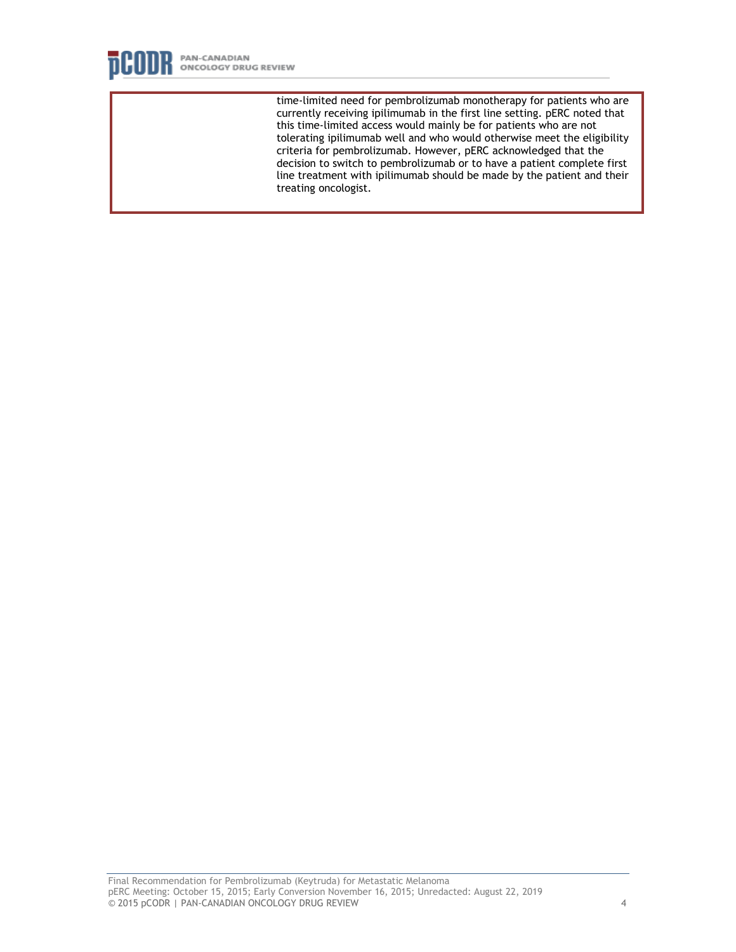

time-limited need for pembrolizumab monotherapy for patients who are currently receiving ipilimumab in the first line setting. pERC noted that this time-limited access would mainly be for patients who are not tolerating ipilimumab well and who would otherwise meet the eligibility criteria for pembrolizumab. However, pERC acknowledged that the decision to switch to pembrolizumab or to have a patient complete first line treatment with ipilimumab should be made by the patient and their treating oncologist.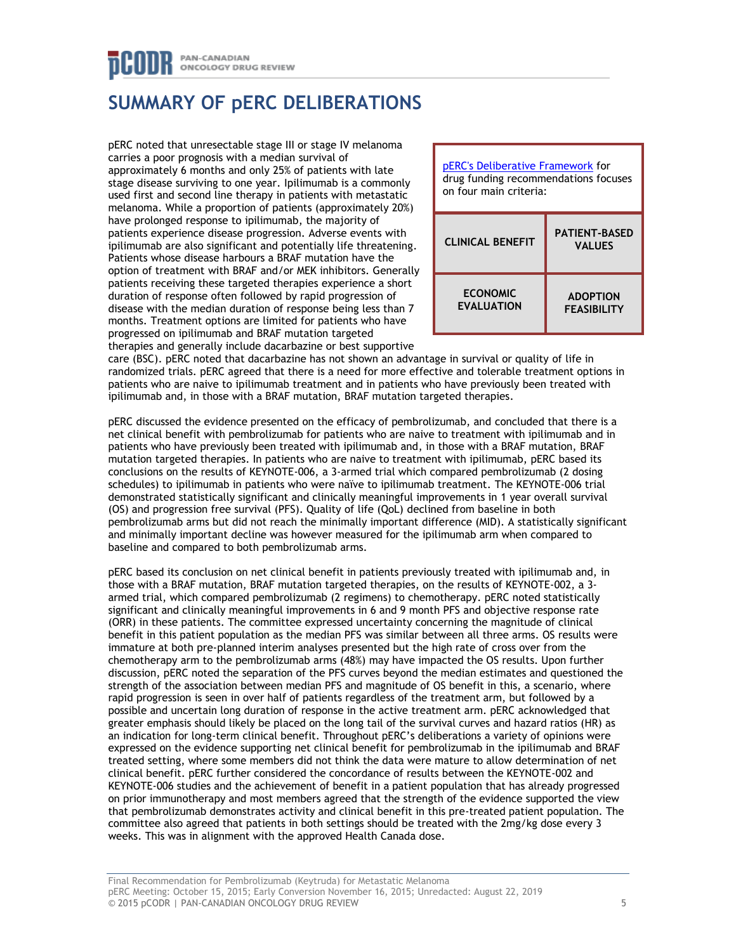# PAN-CANADIAN ONCOLOGY DRUG REVIEW

# **SUMMARY OF pERC DELIBERATIONS**

pERC noted that unresectable stage III or stage IV melanoma carries a poor prognosis with a median survival of approximately 6 months and only 25% of patients with late stage disease surviving to one year. Ipilimumab is a commonly used first and second line therapy in patients with metastatic melanoma. While a proportion of patients (approximately 20%) have prolonged response to ipilimumab, the majority of patients experience disease progression. Adverse events with ipilimumab are also significant and potentially life threatening. Patients whose disease harbours a BRAF mutation have the option of treatment with BRAF and/or MEK inhibitors. Generally patients receiving these targeted therapies experience a short duration of response often followed by rapid progression of disease with the median duration of response being less than 7 months. Treatment options are limited for patients who have progressed on ipilimumab and BRAF mutation targeted therapies and generally include dacarbazine or best supportive



care (BSC). pERC noted that dacarbazine has not shown an advantage in survival or quality of life in randomized trials. pERC agreed that there is a need for more effective and tolerable treatment options in patients who are naive to ipilimumab treatment and in patients who have previously been treated with ipilimumab and, in those with a BRAF mutation, BRAF mutation targeted therapies.

pERC discussed the evidence presented on the efficacy of pembrolizumab, and concluded that there is a net clinical benefit with pembrolizumab for patients who are naive to treatment with ipilimumab and in patients who have previously been treated with ipilimumab and, in those with a BRAF mutation, BRAF mutation targeted therapies. In patients who are naive to treatment with ipilimumab, pERC based its conclusions on the results of KEYNOTE-006, a 3-armed trial which compared pembrolizumab (2 dosing schedules) to ipilimumab in patients who were naïve to ipilimumab treatment. The KEYNOTE-006 trial demonstrated statistically significant and clinically meaningful improvements in 1 year overall survival (OS) and progression free survival (PFS). Quality of life (QoL) declined from baseline in both pembrolizumab arms but did not reach the minimally important difference (MID). A statistically significant and minimally important decline was however measured for the ipilimumab arm when compared to baseline and compared to both pembrolizumab arms.

pERC based its conclusion on net clinical benefit in patients previously treated with ipilimumab and, in those with a BRAF mutation, BRAF mutation targeted therapies, on the results of KEYNOTE-002, a 3 armed trial, which compared pembrolizumab (2 regimens) to chemotherapy. pERC noted statistically significant and clinically meaningful improvements in 6 and 9 month PFS and objective response rate (ORR) in these patients. The committee expressed uncertainty concerning the magnitude of clinical benefit in this patient population as the median PFS was similar between all three arms. OS results were immature at both pre-planned interim analyses presented but the high rate of cross over from the chemotherapy arm to the pembrolizumab arms (48%) may have impacted the OS results. Upon further discussion, pERC noted the separation of the PFS curves beyond the median estimates and questioned the strength of the association between median PFS and magnitude of OS benefit in this, a scenario, where rapid progression is seen in over half of patients regardless of the treatment arm, but followed by a possible and uncertain long duration of response in the active treatment arm. pERC acknowledged that greater emphasis should likely be placed on the long tail of the survival curves and hazard ratios (HR) as an indication for long-term clinical benefit. Throughout pERC's deliberations a variety of opinions were expressed on the evidence supporting net clinical benefit for pembrolizumab in the ipilimumab and BRAF treated setting, where some members did not think the data were mature to allow determination of net clinical benefit. pERC further considered the concordance of results between the KEYNOTE-002 and KEYNOTE-006 studies and the achievement of benefit in a patient population that has already progressed on prior immunotherapy and most members agreed that the strength of the evidence supported the view that pembrolizumab demonstrates activity and clinical benefit in this pre-treated patient population. The committee also agreed that patients in both settings should be treated with the 2mg/kg dose every 3 weeks. This was in alignment with the approved Health Canada dose.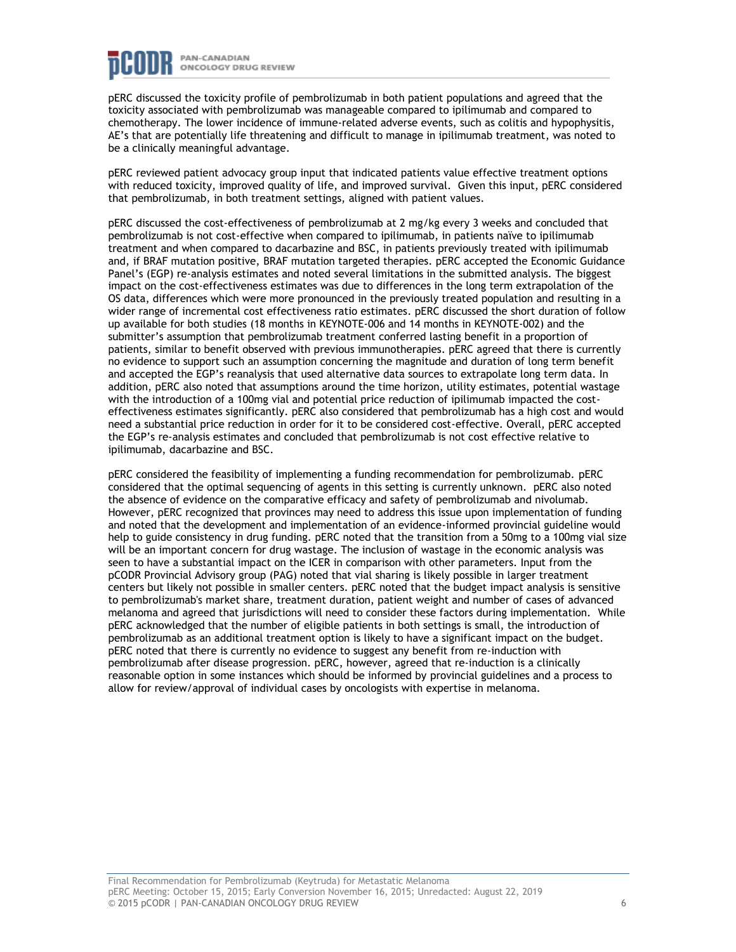

pERC discussed the toxicity profile of pembrolizumab in both patient populations and agreed that the toxicity associated with pembrolizumab was manageable compared to ipilimumab and compared to chemotherapy. The lower incidence of immune-related adverse events, such as colitis and hypophysitis, AE's that are potentially life threatening and difficult to manage in ipilimumab treatment, was noted to be a clinically meaningful advantage.

pERC reviewed patient advocacy group input that indicated patients value effective treatment options with reduced toxicity, improved quality of life, and improved survival. Given this input, pERC considered that pembrolizumab, in both treatment settings, aligned with patient values.

pERC discussed the cost-effectiveness of pembrolizumab at 2 mg/kg every 3 weeks and concluded that pembrolizumab is not cost-effective when compared to ipilimumab, in patients naïve to ipilimumab treatment and when compared to dacarbazine and BSC, in patients previously treated with ipilimumab and, if BRAF mutation positive, BRAF mutation targeted therapies. pERC accepted the Economic Guidance Panel's (EGP) re-analysis estimates and noted several limitations in the submitted analysis. The biggest impact on the cost-effectiveness estimates was due to differences in the long term extrapolation of the OS data, differences which were more pronounced in the previously treated population and resulting in a wider range of incremental cost effectiveness ratio estimates. pERC discussed the short duration of follow up available for both studies (18 months in KEYNOTE-006 and 14 months in KEYNOTE-002) and the submitter's assumption that pembrolizumab treatment conferred lasting benefit in a proportion of patients, similar to benefit observed with previous immunotherapies. pERC agreed that there is currently no evidence to support such an assumption concerning the magnitude and duration of long term benefit and accepted the EGP's reanalysis that used alternative data sources to extrapolate long term data. In addition, pERC also noted that assumptions around the time horizon, utility estimates, potential wastage with the introduction of a 100mg vial and potential price reduction of ipilimumab impacted the costeffectiveness estimates significantly. pERC also considered that pembrolizumab has a high cost and would need a substantial price reduction in order for it to be considered cost-effective. Overall, pERC accepted the EGP's re-analysis estimates and concluded that pembrolizumab is not cost effective relative to ipilimumab, dacarbazine and BSC.

pERC considered the feasibility of implementing a funding recommendation for pembrolizumab. pERC considered that the optimal sequencing of agents in this setting is currently unknown. pERC also noted the absence of evidence on the comparative efficacy and safety of pembrolizumab and nivolumab. However, pERC recognized that provinces may need to address this issue upon implementation of funding and noted that the development and implementation of an evidence-informed provincial guideline would help to guide consistency in drug funding. pERC noted that the transition from a 50mg to a 100mg vial size will be an important concern for drug wastage. The inclusion of wastage in the economic analysis was seen to have a substantial impact on the ICER in comparison with other parameters. Input from the pCODR Provincial Advisory group (PAG) noted that vial sharing is likely possible in larger treatment centers but likely not possible in smaller centers. pERC noted that the budget impact analysis is sensitive to pembrolizumab's market share, treatment duration, patient weight and number of cases of advanced melanoma and agreed that jurisdictions will need to consider these factors during implementation. While pERC acknowledged that the number of eligible patients in both settings is small, the introduction of pembrolizumab as an additional treatment option is likely to have a significant impact on the budget. pERC noted that there is currently no evidence to suggest any benefit from re-induction with pembrolizumab after disease progression. pERC, however, agreed that re-induction is a clinically reasonable option in some instances which should be informed by provincial guidelines and a process to allow for review/approval of individual cases by oncologists with expertise in melanoma.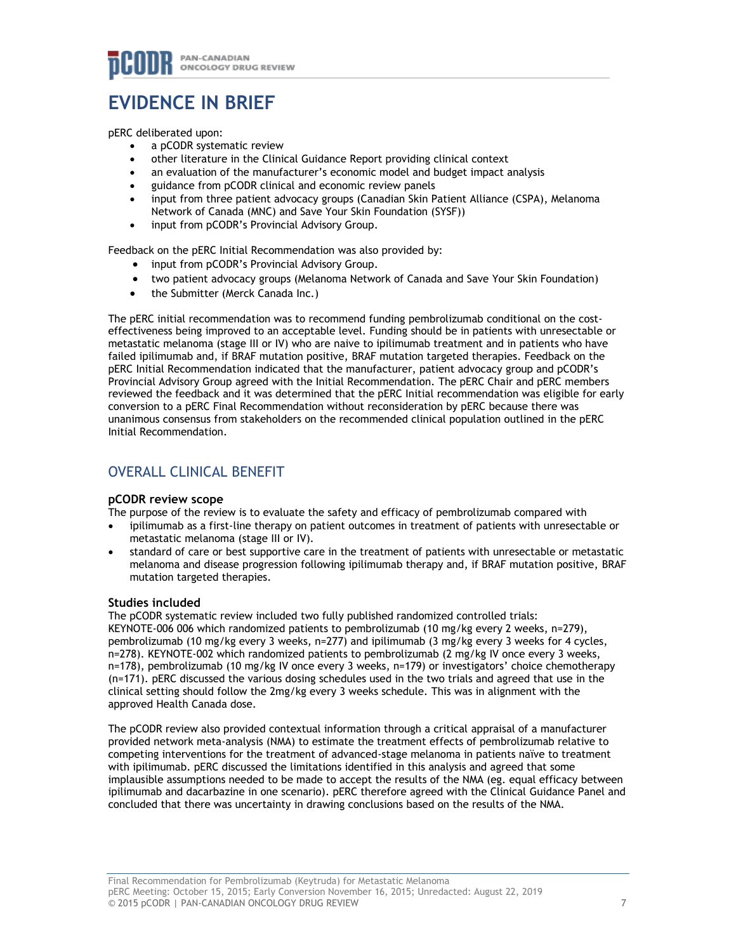# **EVIDENCE IN BRIEF**

pERC deliberated upon:

- a pCODR systematic review
- other literature in the Clinical Guidance Report providing clinical context
- an evaluation of the manufacturer's economic model and budget impact analysis
- guidance from pCODR clinical and economic review panels
- input from three patient advocacy groups (Canadian Skin Patient Alliance (CSPA), Melanoma Network of Canada (MNC) and Save Your Skin Foundation (SYSF))
- input from pCODR's Provincial Advisory Group.

Feedback on the pERC Initial Recommendation was also provided by:

- input from pCODR's Provincial Advisory Group.
- two patient advocacy groups (Melanoma Network of Canada and Save Your Skin Foundation)
- the Submitter (Merck Canada Inc.)

The pERC initial recommendation was to recommend funding pembrolizumab conditional on the costeffectiveness being improved to an acceptable level. Funding should be in patients with unresectable or metastatic melanoma (stage III or IV) who are naive to ipilimumab treatment and in patients who have failed ipilimumab and, if BRAF mutation positive, BRAF mutation targeted therapies. Feedback on the pERC Initial Recommendation indicated that the manufacturer, patient advocacy group and pCODR's Provincial Advisory Group agreed with the Initial Recommendation. The pERC Chair and pERC members reviewed the feedback and it was determined that the pERC Initial recommendation was eligible for early conversion to a pERC Final Recommendation without reconsideration by pERC because there was unanimous consensus from stakeholders on the recommended clinical population outlined in the pERC Initial Recommendation.

# OVERALL CLINICAL BENEFIT

## **pCODR review scope**

The purpose of the review is to evaluate the safety and efficacy of pembrolizumab compared with

- ipilimumab as a first-line therapy on patient outcomes in treatment of patients with unresectable or metastatic melanoma (stage III or IV).
- standard of care or best supportive care in the treatment of patients with unresectable or metastatic melanoma and disease progression following ipilimumab therapy and, if BRAF mutation positive, BRAF mutation targeted therapies.

## **Studies included**

The pCODR systematic review included two fully published randomized controlled trials: KEYNOTE-006 006 which randomized patients to pembrolizumab (10 mg/kg every 2 weeks, n=279), pembrolizumab (10 mg/kg every 3 weeks, n=277) and ipilimumab (3 mg/kg every 3 weeks for 4 cycles, n=278). KEYNOTE-002 which randomized patients to pembrolizumab (2 mg/kg IV once every 3 weeks, n=178), pembrolizumab (10 mg/kg IV once every 3 weeks, n=179) or investigators' choice chemotherapy (n=171). pERC discussed the various dosing schedules used in the two trials and agreed that use in the clinical setting should follow the 2mg/kg every 3 weeks schedule. This was in alignment with the approved Health Canada dose.

The pCODR review also provided contextual information through a critical appraisal of a manufacturer provided network meta-analysis (NMA) to estimate the treatment effects of pembrolizumab relative to competing interventions for the treatment of advanced-stage melanoma in patients naïve to treatment with ipilimumab. pERC discussed the limitations identified in this analysis and agreed that some implausible assumptions needed to be made to accept the results of the NMA (eg. equal efficacy between ipilimumab and dacarbazine in one scenario). pERC therefore agreed with the Clinical Guidance Panel and concluded that there was uncertainty in drawing conclusions based on the results of the NMA.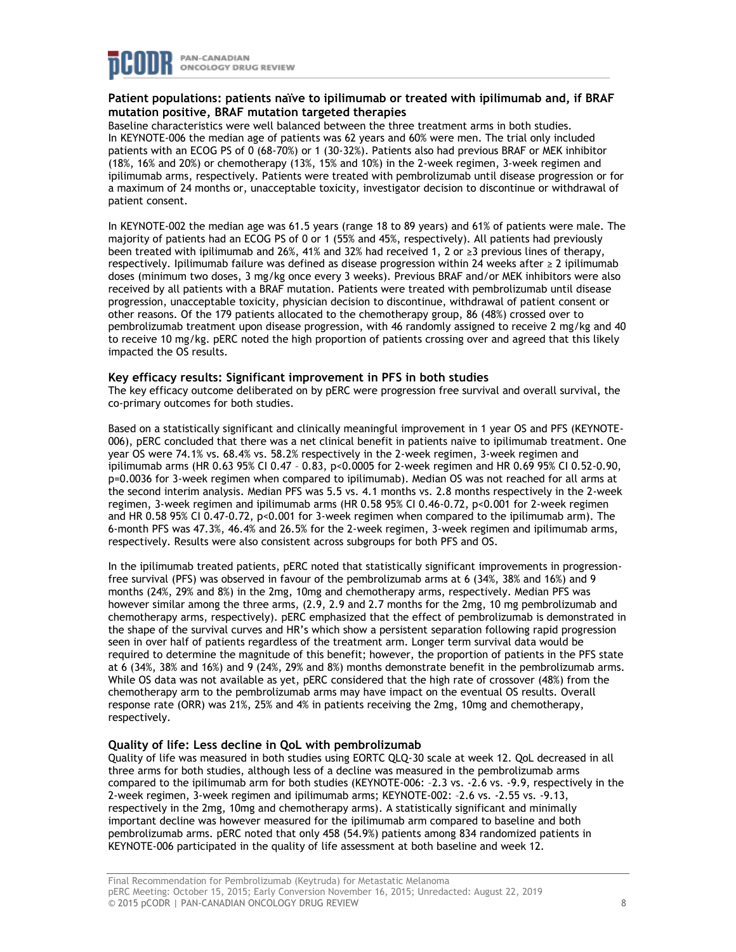

# **Patient populations: patients naïve to ipilimumab or treated with ipilimumab and, if BRAF mutation positive, BRAF mutation targeted therapies**

Baseline characteristics were well balanced between the three treatment arms in both studies. In KEYNOTE-006 the median age of patients was 62 years and 60% were men. The trial only included patients with an ECOG PS of 0 (68-70%) or 1 (30-32%). Patients also had previous BRAF or MEK inhibitor (18%, 16% and 20%) or chemotherapy (13%, 15% and 10%) in the 2-week regimen, 3-week regimen and ipilimumab arms, respectively. Patients were treated with pembrolizumab until disease progression or for a maximum of 24 months or, unacceptable toxicity, investigator decision to discontinue or withdrawal of patient consent.

In KEYNOTE-002 the median age was 61.5 years (range 18 to 89 years) and 61% of patients were male. The majority of patients had an ECOG PS of 0 or 1 (55% and 45%, respectively). All patients had previously been treated with ipilimumab and 26%, 41% and 32% had received 1, 2 or ≥3 previous lines of therapy, respectively. Ipilimumab failure was defined as disease progression within 24 weeks after ≥ 2 ipilimumab doses (minimum two doses, 3 mg/kg once every 3 weeks). Previous BRAF and/or MEK inhibitors were also received by all patients with a BRAF mutation. Patients were treated with pembrolizumab until disease progression, unacceptable toxicity, physician decision to discontinue, withdrawal of patient consent or other reasons. Of the 179 patients allocated to the chemotherapy group, 86 (48%) crossed over to pembrolizumab treatment upon disease progression, with 46 randomly assigned to receive 2 mg/kg and 40 to receive 10 mg/kg. pERC noted the high proportion of patients crossing over and agreed that this likely impacted the OS results.

#### **Key efficacy results: Significant improvement in PFS in both studies**

The key efficacy outcome deliberated on by pERC were progression free survival and overall survival, the co-primary outcomes for both studies.

Based on a statistically significant and clinically meaningful improvement in 1 year OS and PFS (KEYNOTE-006), pERC concluded that there was a net clinical benefit in patients naive to ipilimumab treatment. One year OS were 74.1% vs. 68.4% vs. 58.2% respectively in the 2-week regimen, 3-week regimen and ipilimumab arms (HR 0.63 95% CI 0.47 – 0.83, p<0.0005 for 2-week regimen and HR 0.69 95% CI 0.52-0.90, p=0.0036 for 3-week regimen when compared to ipilimumab). Median OS was not reached for all arms at the second interim analysis. Median PFS was 5.5 vs. 4.1 months vs. 2.8 months respectively in the 2-week regimen, 3-week regimen and ipilimumab arms (HR 0.58 95% CI 0.46-0.72, p<0.001 for 2-week regimen and HR 0.58 95% CI 0.47-0.72, p<0.001 for 3-week regimen when compared to the ipilimumab arm). The 6-month PFS was 47.3%, 46.4% and 26.5% for the 2-week regimen, 3-week regimen and ipilimumab arms, respectively. Results were also consistent across subgroups for both PFS and OS.

In the ipilimumab treated patients, pERC noted that statistically significant improvements in progressionfree survival (PFS) was observed in favour of the pembrolizumab arms at 6 (34%, 38% and 16%) and 9 months (24%, 29% and 8%) in the 2mg, 10mg and chemotherapy arms, respectively. Median PFS was however similar among the three arms, (2.9, 2.9 and 2.7 months for the 2mg, 10 mg pembrolizumab and chemotherapy arms, respectively). pERC emphasized that the effect of pembrolizumab is demonstrated in the shape of the survival curves and HR's which show a persistent separation following rapid progression seen in over half of patients regardless of the treatment arm. Longer term survival data would be required to determine the magnitude of this benefit; however, the proportion of patients in the PFS state at 6 (34%, 38% and 16%) and 9 (24%, 29% and 8%) months demonstrate benefit in the pembrolizumab arms. While OS data was not available as yet, pERC considered that the high rate of crossover (48%) from the chemotherapy arm to the pembrolizumab arms may have impact on the eventual OS results. Overall response rate (ORR) was 21%, 25% and 4% in patients receiving the 2mg, 10mg and chemotherapy, respectively.

## **Quality of life: Less decline in QoL with pembrolizumab**

Quality of life was measured in both studies using EORTC QLQ-30 scale at week 12. QoL decreased in all three arms for both studies, although less of a decline was measured in the pembrolizumab arms compared to the ipilimumab arm for both studies (KEYNOTE-006: –2.3 vs. -2.6 vs. -9.9, respectively in the 2-week regimen, 3-week regimen and ipilimumab arms; KEYNOTE-002: –2.6 vs. -2.55 vs. -9.13, respectively in the 2mg, 10mg and chemotherapy arms). A statistically significant and minimally important decline was however measured for the ipilimumab arm compared to baseline and both pembrolizumab arms. pERC noted that only 458 (54.9%) patients among 834 randomized patients in KEYNOTE-006 participated in the quality of life assessment at both baseline and week 12.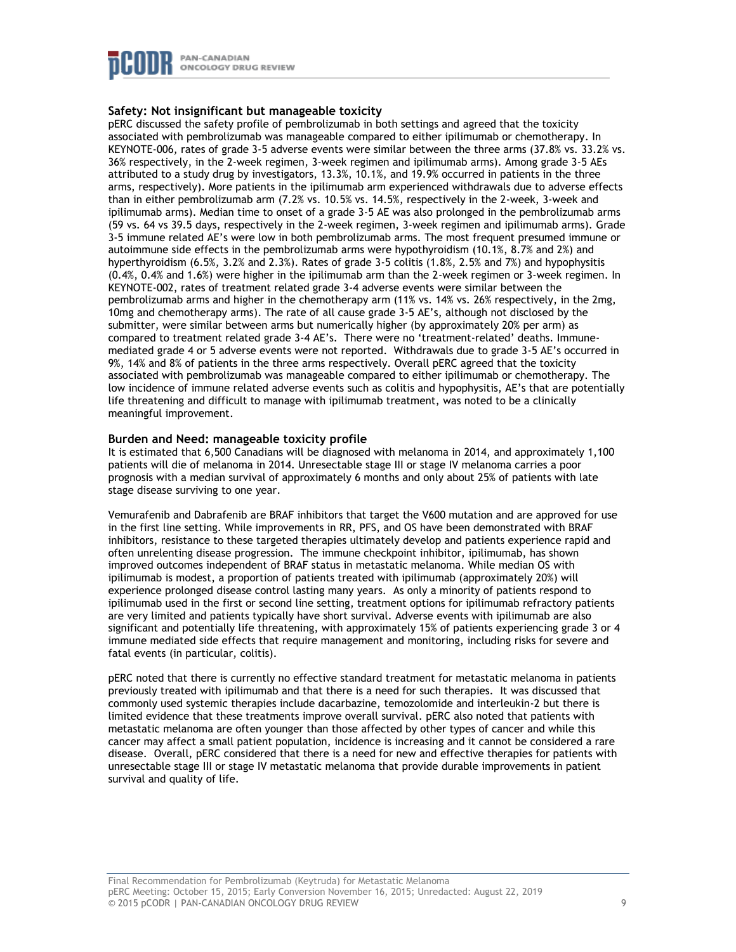

# **Safety: Not insignificant but manageable toxicity**

pERC discussed the safety profile of pembrolizumab in both settings and agreed that the toxicity associated with pembrolizumab was manageable compared to either ipilimumab or chemotherapy. In KEYNOTE-006, rates of grade 3-5 adverse events were similar between the three arms (37.8% vs. 33.2% vs. 36% respectively, in the 2-week regimen, 3-week regimen and ipilimumab arms). Among grade 3-5 AEs attributed to a study drug by investigators, 13.3%, 10.1%, and 19.9% occurred in patients in the three arms, respectively). More patients in the ipilimumab arm experienced withdrawals due to adverse effects than in either pembrolizumab arm (7.2% vs. 10.5% vs. 14.5%, respectively in the 2-week, 3-week and ipilimumab arms). Median time to onset of a grade 3-5 AE was also prolonged in the pembrolizumab arms (59 vs. 64 vs 39.5 days, respectively in the 2-week regimen, 3-week regimen and ipilimumab arms). Grade 3-5 immune related AE's were low in both pembrolizumab arms. The most frequent presumed immune or autoimmune side effects in the pembrolizumab arms were hypothyroidism (10.1%, 8.7% and 2%) and hyperthyroidism (6.5%, 3.2% and 2.3%). Rates of grade 3-5 colitis (1.8%, 2.5% and 7%) and hypophysitis (0.4%, 0.4% and 1.6%) were higher in the ipilimumab arm than the 2-week regimen or 3-week regimen. In KEYNOTE-002, rates of treatment related grade 3-4 adverse events were similar between the pembrolizumab arms and higher in the chemotherapy arm (11% vs. 14% vs. 26% respectively, in the 2mg, 10mg and chemotherapy arms). The rate of all cause grade 3-5 AE's, although not disclosed by the submitter, were similar between arms but numerically higher (by approximately 20% per arm) as compared to treatment related grade 3-4 AE's. There were no 'treatment-related' deaths. Immunemediated grade 4 or 5 adverse events were not reported. Withdrawals due to grade 3-5 AE's occurred in 9%, 14% and 8% of patients in the three arms respectively. Overall pERC agreed that the toxicity associated with pembrolizumab was manageable compared to either ipilimumab or chemotherapy. The low incidence of immune related adverse events such as colitis and hypophysitis, AE's that are potentially life threatening and difficult to manage with ipilimumab treatment, was noted to be a clinically meaningful improvement.

## **Burden and Need: manageable toxicity profile**

It is estimated that 6,500 Canadians will be diagnosed with melanoma in 2014, and approximately 1,100 patients will die of melanoma in 2014. Unresectable stage III or stage IV melanoma carries a poor prognosis with a median survival of approximately 6 months and only about 25% of patients with late stage disease surviving to one year.

Vemurafenib and Dabrafenib are BRAF inhibitors that target the V600 mutation and are approved for use in the first line setting. While improvements in RR, PFS, and OS have been demonstrated with BRAF inhibitors, resistance to these targeted therapies ultimately develop and patients experience rapid and often unrelenting disease progression. The immune checkpoint inhibitor, ipilimumab, has shown improved outcomes independent of BRAF status in metastatic melanoma. While median OS with ipilimumab is modest, a proportion of patients treated with ipilimumab (approximately 20%) will experience prolonged disease control lasting many years. As only a minority of patients respond to ipilimumab used in the first or second line setting, treatment options for ipilimumab refractory patients are very limited and patients typically have short survival. Adverse events with ipilimumab are also significant and potentially life threatening, with approximately 15% of patients experiencing grade 3 or 4 immune mediated side effects that require management and monitoring, including risks for severe and fatal events (in particular, colitis).

pERC noted that there is currently no effective standard treatment for metastatic melanoma in patients previously treated with ipilimumab and that there is a need for such therapies. It was discussed that commonly used systemic therapies include dacarbazine, temozolomide and interleukin-2 but there is limited evidence that these treatments improve overall survival. pERC also noted that patients with metastatic melanoma are often younger than those affected by other types of cancer and while this cancer may affect a small patient population, incidence is increasing and it cannot be considered a rare disease. Overall, pERC considered that there is a need for new and effective therapies for patients with unresectable stage III or stage IV metastatic melanoma that provide durable improvements in patient survival and quality of life.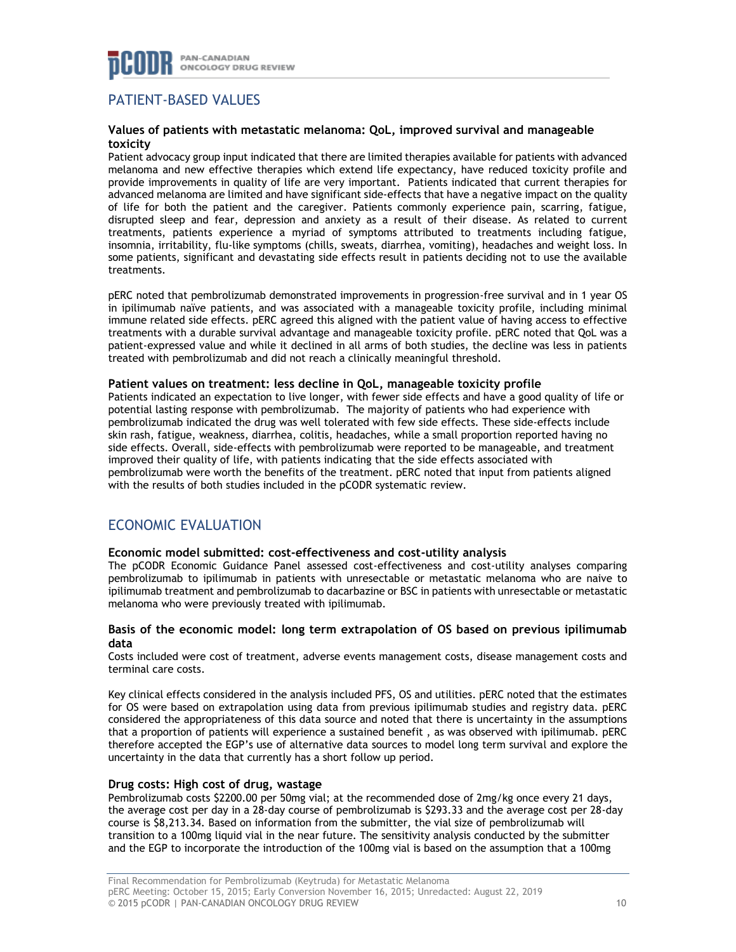

# PATIENT-BASED VALUES

## **Values of patients with metastatic melanoma: QoL, improved survival and manageable toxicity**

Patient advocacy group input indicated that there are limited therapies available for patients with advanced melanoma and new effective therapies which extend life expectancy, have reduced toxicity profile and provide improvements in quality of life are very important. Patients indicated that current therapies for advanced melanoma are limited and have significant side-effects that have a negative impact on the quality of life for both the patient and the caregiver. Patients commonly experience pain, scarring, fatigue, disrupted sleep and fear, depression and anxiety as a result of their disease. As related to current treatments, patients experience a myriad of symptoms attributed to treatments including fatigue, insomnia, irritability, flu-like symptoms (chills, sweats, diarrhea, vomiting), headaches and weight loss. In some patients, significant and devastating side effects result in patients deciding not to use the available treatments.

pERC noted that pembrolizumab demonstrated improvements in progression-free survival and in 1 year OS in ipilimumab naïve patients, and was associated with a manageable toxicity profile, including minimal immune related side effects. pERC agreed this aligned with the patient value of having access to effective treatments with a durable survival advantage and manageable toxicity profile. pERC noted that QoL was a patient-expressed value and while it declined in all arms of both studies, the decline was less in patients treated with pembrolizumab and did not reach a clinically meaningful threshold.

# **Patient values on treatment: less decline in QoL, manageable toxicity profile**

Patients indicated an expectation to live longer, with fewer side effects and have a good quality of life or potential lasting response with pembrolizumab. The majority of patients who had experience with pembrolizumab indicated the drug was well tolerated with few side effects. These side-effects include skin rash, fatigue, weakness, diarrhea, colitis, headaches, while a small proportion reported having no side effects. Overall, side-effects with pembrolizumab were reported to be manageable, and treatment improved their quality of life, with patients indicating that the side effects associated with pembrolizumab were worth the benefits of the treatment. pERC noted that input from patients aligned with the results of both studies included in the pCODR systematic review.

# ECONOMIC EVALUATION

## **Economic model submitted: cost-effectiveness and cost-utility analysis**

The pCODR Economic Guidance Panel assessed cost-effectiveness and cost-utility analyses comparing pembrolizumab to ipilimumab in patients with unresectable or metastatic melanoma who are naive to ipilimumab treatment and pembrolizumab to dacarbazine or BSC in patients with unresectable or metastatic melanoma who were previously treated with ipilimumab.

## **Basis of the economic model: long term extrapolation of OS based on previous ipilimumab data**

Costs included were cost of treatment, adverse events management costs, disease management costs and terminal care costs.

Key clinical effects considered in the analysis included PFS, OS and utilities. pERC noted that the estimates for OS were based on extrapolation using data from previous ipilimumab studies and registry data. pERC considered the appropriateness of this data source and noted that there is uncertainty in the assumptions that a proportion of patients will experience a sustained benefit , as was observed with ipilimumab. pERC therefore accepted the EGP's use of alternative data sources to model long term survival and explore the uncertainty in the data that currently has a short follow up period.

## **Drug costs: High cost of drug, wastage**

Pembrolizumab costs \$2200.00 per 50mg vial; at the recommended dose of 2mg/kg once every 21 days, the average cost per day in a 28-day course of pembrolizumab is \$293.33 and the average cost per 28-day course is \$8,213.34. Based on information from the submitter, the vial size of pembrolizumab will transition to a 100mg liquid vial in the near future. The sensitivity analysis conducted by the submitter and the EGP to incorporate the introduction of the 100mg vial is based on the assumption that a 100mg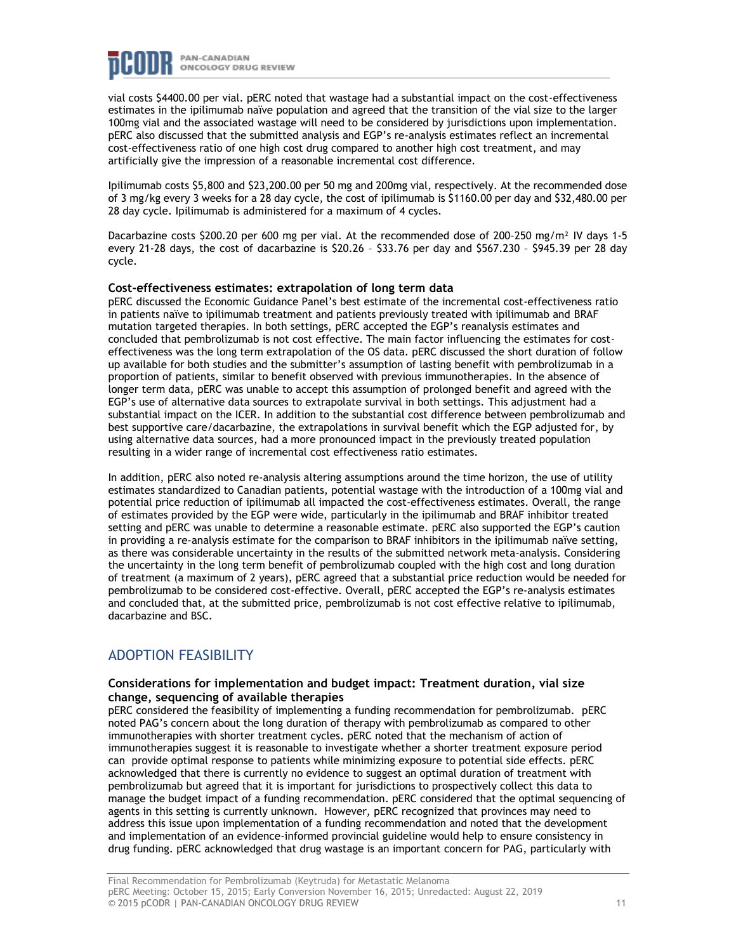

vial costs \$4400.00 per vial. pERC noted that wastage had a substantial impact on the cost-effectiveness estimates in the ipilimumab naïve population and agreed that the transition of the vial size to the larger 100mg vial and the associated wastage will need to be considered by jurisdictions upon implementation. pERC also discussed that the submitted analysis and EGP's re-analysis estimates reflect an incremental cost-effectiveness ratio of one high cost drug compared to another high cost treatment, and may artificially give the impression of a reasonable incremental cost difference.

Ipilimumab costs \$5,800 and \$23,200.00 per 50 mg and 200mg vial, respectively. At the recommended dose of 3 mg/kg every 3 weeks for a 28 day cycle, the cost of ipilimumab is \$1160.00 per day and \$32,480.00 per 28 day cycle. Ipilimumab is administered for a maximum of 4 cycles.

Dacarbazine costs \$200.20 per 600 mg per vial. At the recommended dose of 200–250 mg/m² IV days 1-5 every 21-28 days, the cost of dacarbazine is \$20.26 – \$33.76 per day and \$567.230 – \$945.39 per 28 day cycle.

#### **Cost-effectiveness estimates: extrapolation of long term data**

pERC discussed the Economic Guidance Panel's best estimate of the incremental cost-effectiveness ratio in patients naïve to ipilimumab treatment and patients previously treated with ipilimumab and BRAF mutation targeted therapies. In both settings, pERC accepted the EGP's reanalysis estimates and concluded that pembrolizumab is not cost effective. The main factor influencing the estimates for costeffectiveness was the long term extrapolation of the OS data. pERC discussed the short duration of follow up available for both studies and the submitter's assumption of lasting benefit with pembrolizumab in a proportion of patients, similar to benefit observed with previous immunotherapies. In the absence of longer term data, pERC was unable to accept this assumption of prolonged benefit and agreed with the EGP's use of alternative data sources to extrapolate survival in both settings. This adjustment had a substantial impact on the ICER. In addition to the substantial cost difference between pembrolizumab and best supportive care/dacarbazine, the extrapolations in survival benefit which the EGP adjusted for, by using alternative data sources, had a more pronounced impact in the previously treated population resulting in a wider range of incremental cost effectiveness ratio estimates.

In addition, pERC also noted re-analysis altering assumptions around the time horizon, the use of utility estimates standardized to Canadian patients, potential wastage with the introduction of a 100mg vial and potential price reduction of ipilimumab all impacted the cost-effectiveness estimates. Overall, the range of estimates provided by the EGP were wide, particularly in the ipilimumab and BRAF inhibitor treated setting and pERC was unable to determine a reasonable estimate. pERC also supported the EGP's caution in providing a re-analysis estimate for the comparison to BRAF inhibitors in the ipilimumab naïve setting, as there was considerable uncertainty in the results of the submitted network meta-analysis. Considering the uncertainty in the long term benefit of pembrolizumab coupled with the high cost and long duration of treatment (a maximum of 2 years), pERC agreed that a substantial price reduction would be needed for pembrolizumab to be considered cost-effective. Overall, pERC accepted the EGP's re-analysis estimates and concluded that, at the submitted price, pembrolizumab is not cost effective relative to ipilimumab, dacarbazine and BSC.

# ADOPTION FEASIBILITY

## **Considerations for implementation and budget impact: Treatment duration, vial size change, sequencing of available therapies**

pERC considered the feasibility of implementing a funding recommendation for pembrolizumab. pERC noted PAG's concern about the long duration of therapy with pembrolizumab as compared to other immunotherapies with shorter treatment cycles. pERC noted that the mechanism of action of immunotherapies suggest it is reasonable to investigate whether a shorter treatment exposure period can provide optimal response to patients while minimizing exposure to potential side effects. pERC acknowledged that there is currently no evidence to suggest an optimal duration of treatment with pembrolizumab but agreed that it is important for jurisdictions to prospectively collect this data to manage the budget impact of a funding recommendation. pERC considered that the optimal sequencing of agents in this setting is currently unknown. However, pERC recognized that provinces may need to address this issue upon implementation of a funding recommendation and noted that the development and implementation of an evidence-informed provincial guideline would help to ensure consistency in drug funding. pERC acknowledged that drug wastage is an important concern for PAG, particularly with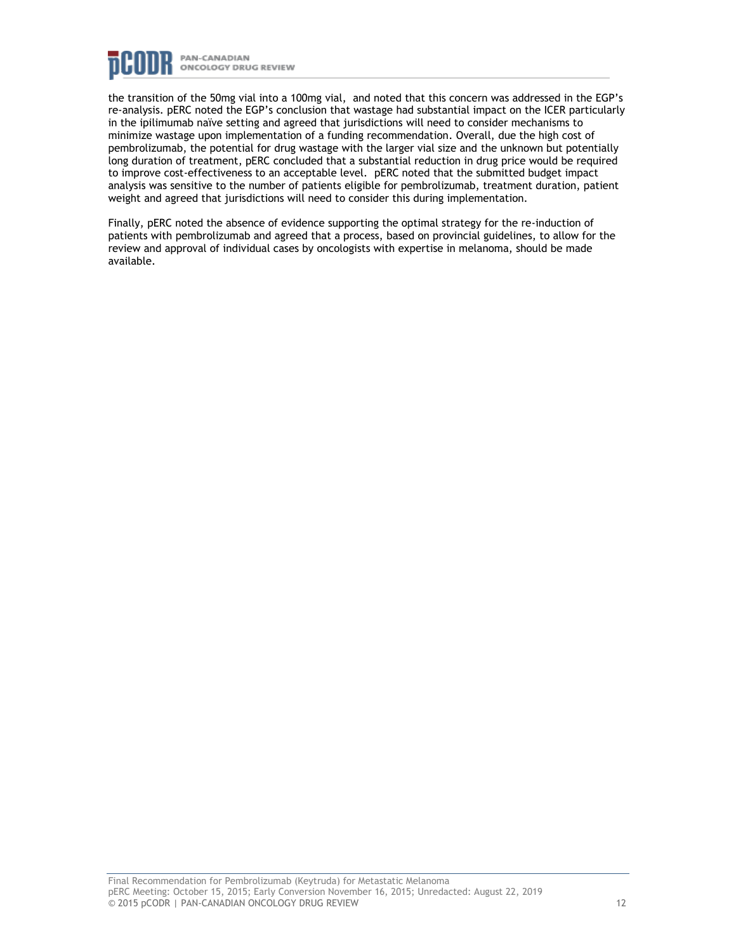

the transition of the 50mg vial into a 100mg vial, and noted that this concern was addressed in the EGP's re-analysis. pERC noted the EGP's conclusion that wastage had substantial impact on the ICER particularly in the ipilimumab naïve setting and agreed that jurisdictions will need to consider mechanisms to minimize wastage upon implementation of a funding recommendation. Overall, due the high cost of pembrolizumab, the potential for drug wastage with the larger vial size and the unknown but potentially long duration of treatment, pERC concluded that a substantial reduction in drug price would be required to improve cost-effectiveness to an acceptable level. pERC noted that the submitted budget impact analysis was sensitive to the number of patients eligible for pembrolizumab, treatment duration, patient weight and agreed that jurisdictions will need to consider this during implementation.

Finally, pERC noted the absence of evidence supporting the optimal strategy for the re-induction of patients with pembrolizumab and agreed that a process, based on provincial guidelines, to allow for the review and approval of individual cases by oncologists with expertise in melanoma, should be made available.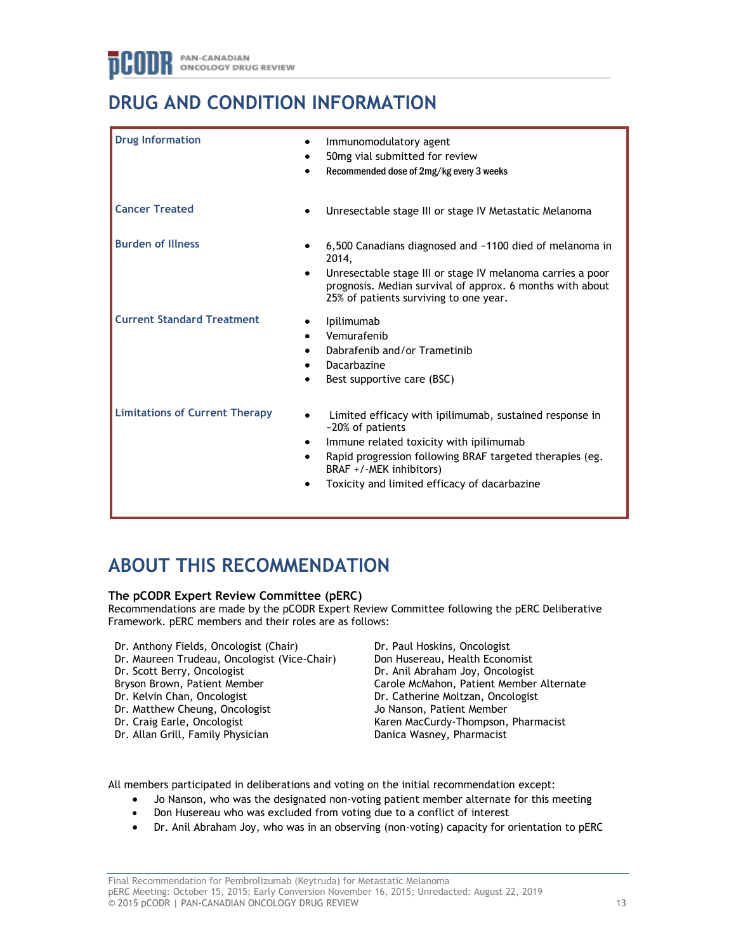# **DRUG AND CONDITION INFORMATION**

| <b>Drug Information</b>               | Immunomodulatory agent<br>50mg vial submitted for review<br>Recommended dose of 2mg/kg every 3 weeks                                                                                                                                                          |
|---------------------------------------|---------------------------------------------------------------------------------------------------------------------------------------------------------------------------------------------------------------------------------------------------------------|
| <b>Cancer Treated</b>                 | Unresectable stage III or stage IV Metastatic Melanoma                                                                                                                                                                                                        |
| <b>Burden of Illness</b>              | 6,500 Canadians diagnosed and ~1100 died of melanoma in<br>2014,<br>Unresectable stage III or stage IV melanoma carries a poor<br>prognosis. Median survival of approx. 6 months with about<br>25% of patients surviving to one year.                         |
| <b>Current Standard Treatment</b>     | Ipilimumab<br>Vemurafenib<br>Dabrafenib and/or Trametinib<br>Dacarbazine<br>Best supportive care (BSC)                                                                                                                                                        |
| <b>Limitations of Current Therapy</b> | Limited efficacy with ipilimumab, sustained response in<br>~20% of patients<br>Immune related toxicity with ipilimumab<br>Rapid progression following BRAF targeted therapies (eg.<br>BRAF +/-MEK inhibitors)<br>Toxicity and limited efficacy of dacarbazine |

# **ABOUT THIS RECOMMENDATION**

# **The pCODR Expert Review Committee (pERC)**

Recommendations are made by the pCODR Expert Review Committee following the pERC Deliberative Framework. pERC members and their roles are as follows:

- Dr. Anthony Fields, Oncologist (Chair)
- Dr. Maureen Trudeau, Oncologist (Vice-Chair)
- Dr. Scott Berry, Oncologist
- Bryson Brown, Patient Member
- Dr. Kelvin Chan, Oncologist
- Dr. Matthew Cheung, Oncologist
- Dr. Craig Earle, Oncologist
- Dr. Allan Grill, Family Physician

Dr. Paul Hoskins, Oncologist Don Husereau, Health Economist Dr. Anil Abraham Joy, Oncologist Carole McMahon, Patient Member Alternate Dr. Catherine Moltzan, Oncologist Jo Nanson, Patient Member Karen MacCurdy-Thompson, Pharmacist Danica Wasney, Pharmacist

All members participated in deliberations and voting on the initial recommendation except:

- Jo Nanson, who was the designated non-voting patient member alternate for this meeting
- Don Husereau who was excluded from voting due to a conflict of interest
- Dr. Anil Abraham Joy, who was in an observing (non-voting) capacity for orientation to pERC